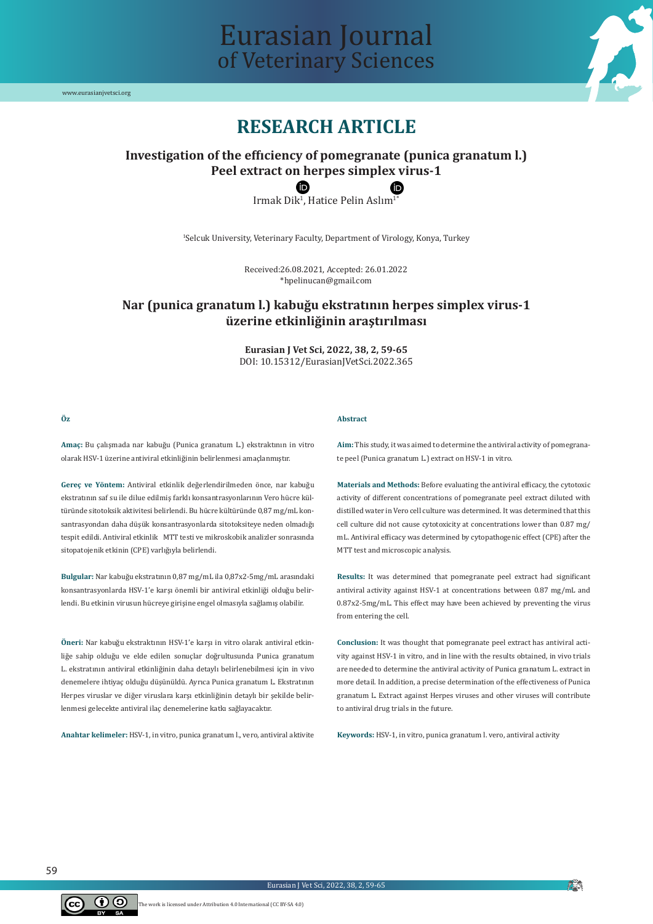

# Eurasian Journal of Veterinary Sciences

## **RESEARCH ARTICLE**

### **Investigation of the effıciency of pomegranate (punica granatum l.) Peel extract on herpes simplex virus-1**

 $\text{Imak}\, \text{Dik}^1$ , Hatice Pelin Aslim<sup>1</sup>

1 Selcuk University, Veterinary Faculty, Department of Virology, Konya, Turkey

Received:26.08.2021, Accepted: 26.01.2022 \*hpelinucan@gmail.com

### **Nar (punica granatum l.) kabuğu ekstratının herpes simplex virus-1 üzerine etkinliğinin araştırılması**

**Eurasian J Vet Sci, 2022, 38, 2, 59-65** DOI: 10.15312/EurasianJVetSci.2022.365

**Abstract**

#### **Öz**

**Amaç:** Bu çalışmada nar kabuğu (Punica granatum L.) ekstraktının in vitro olarak HSV-1 üzerine antiviral etkinliğinin belirlenmesi amaçlanmıştır.

**Gereç ve Yöntem:** Antiviral etkinlik değerlendirilmeden önce, nar kabuğu ekstratının saf su ile dilue edilmiş farklı konsantrasyonlarının Vero hücre kültüründe sitotoksik aktivitesi belirlendi. Bu hücre kültüründe 0,87 mg/mL konsantrasyondan daha düşük konsantrasyonlarda sitotoksiteye neden olmadığı tespit edildi. Antiviral etkinlik MTT testi ve mikroskobik analizler sonrasında sitopatojenik etkinin (CPE) varlığıyla belirlendi.

**Bulgular:** Nar kabuğu ekstratının 0,87 mg/mL ila 0,87x2-5mg/mL arasındaki konsantrasyonlarda HSV-1'e karşı önemli bir antiviral etkinliği olduğu belirlendi. Bu etkinin virusun hücreye girişine engel olmasıyla sağlamış olabilir.

**Öneri:** Nar kabuğu ekstraktının HSV-1'e karşı in vitro olarak antiviral etkinliğe sahip olduğu ve elde edilen sonuçlar doğrultusunda Punica granatum L. ekstratının antiviral etkinliğinin daha detaylı belirlenebilmesi için in vivo denemelere ihtiyaç olduğu düşünüldü. Ayrıca Punica granatum L. Ekstratının Herpes viruslar ve diğer viruslara karşı etkinliğinin detaylı bir şekilde belirlenmesi gelecekte antiviral ilaç denemelerine katkı sağlayacaktır.

**Anahtar kelimeler:** HSV-1, in vitro, punica granatum l., vero, antiviral aktivite

**Aim:** This study, it was aimed to determine the antiviral activity of pomegranate peel (Punica granatum L.) extract on HSV-1 in vitro.

**Materials and Methods:** Before evaluating the antiviral efficacy, the cytotoxic activity of different concentrations of pomegranate peel extract diluted with distilled water in Vero cell culture was determined. It was determined that this cell culture did not cause cytotoxicity at concentrations lower than 0.87 mg/ mL. Antiviral efficacy was determined by cytopathogenic effect (CPE) after the MTT test and microscopic analysis.

**Results:** It was determined that pomegranate peel extract had significant antiviral activity against HSV-1 at concentrations between 0.87 mg/mL and 0.87x2-5mg/mL. This effect may have been achieved by preventing the virus from entering the cell.

**Conclusion:** It was thought that pomegranate peel extract has antiviral activity against HSV-1 in vitro, and in line with the results obtained, in vivo trials are needed to determine the antiviral activity of Punica granatum L. extract in more detail. In addition, a precise determination of the effectiveness of Punica granatum L. Extract against Herpes viruses and other viruses will contribute to antiviral drug trials in the future.

**Keywords:** HSV-1, in vitro, punica granatum l. vero, antiviral activity



**AN**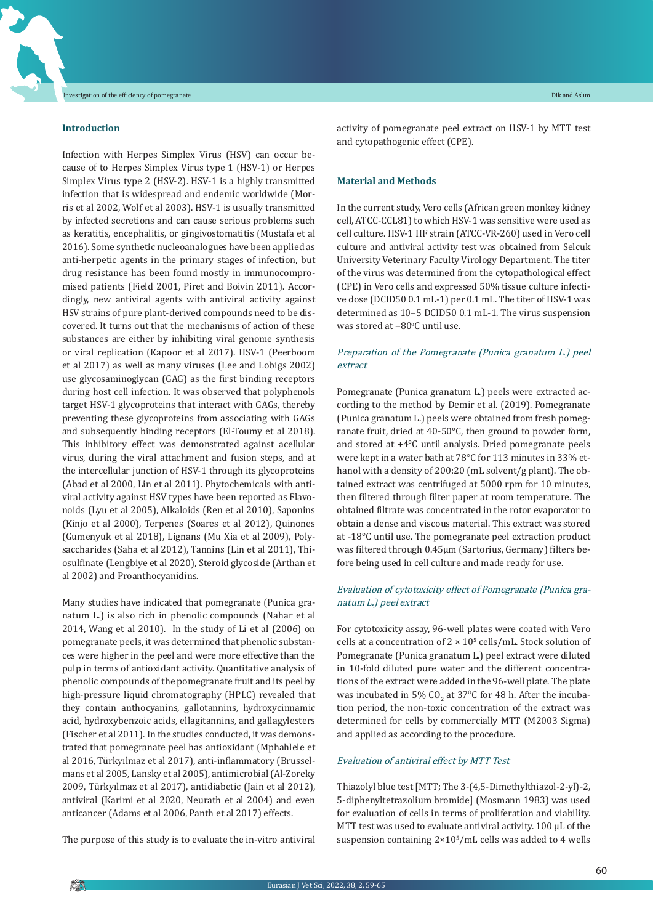#### **Introduction**

Infection with Herpes Simplex Virus (HSV) can occur because of to Herpes Simplex Virus type 1 (HSV-1) or Herpes Simplex Virus type 2 (HSV-2). HSV-1 is a highly transmitted infection that is widespread and endemic worldwide (Morris et al 2002, Wolf et al 2003). HSV-1 is usually transmitted by infected secretions and can cause serious problems such as keratitis, encephalitis, or gingivostomatitis (Mustafa et al 2016). Some synthetic nucleoanalogues have been applied as anti-herpetic agents in the primary stages of infection, but drug resistance has been found mostly in immunocompromised patients (Field 2001, Piret and Boivin 2011). Accordingly, new antiviral agents with antiviral activity against HSV strains of pure plant-derived compounds need to be discovered. It turns out that the mechanisms of action of these substances are either by inhibiting viral genome synthesis or viral replication (Kapoor et al 2017). HSV-1 (Peerboom et al 2017) as well as many viruses (Lee and Lobigs 2002) use glycosaminoglycan (GAG) as the first binding receptors during host cell infection. It was observed that polyphenols target HSV-1 glycoproteins that interact with GAGs, thereby preventing these glycoproteins from associating with GAGs and subsequently binding receptors (El-Toumy et al 2018). This inhibitory effect was demonstrated against acellular virus, during the viral attachment and fusion steps, and at the intercellular junction of HSV-1 through its glycoproteins (Abad et al 2000, Lin et al 2011). Phytochemicals with antiviral activity against HSV types have been reported as Flavonoids (Lyu et al 2005), Alkaloids (Ren et al 2010), Saponins (Kinjo et al 2000), Terpenes (Soares et al 2012), Quinones (Gumenyuk et al 2018), Lignans (Mu Xia et al 2009), Polysaccharides (Saha et al 2012), Tannins (Lin et al 2011), Thiosulfinate (Lengbiye et al 2020), Steroid glycoside (Arthan et al 2002) and Proanthocyanidins.

Many studies have indicated that pomegranate (Punica granatum L.) is also rich in phenolic compounds (Nahar et al 2014, Wang et al 2010). In the study of Li et al (2006) on pomegranate peels, it was determined that phenolic substances were higher in the peel and were more effective than the pulp in terms of antioxidant activity. Quantitative analysis of phenolic compounds of the pomegranate fruit and its peel by high-pressure liquid chromatography (HPLC) revealed that they contain anthocyanins, gallotannins, hydroxycinnamic acid, hydroxybenzoic acids, ellagitannins, and gallagylesters (Fischer et al 2011). In the studies conducted, it was demonstrated that pomegranate peel has antioxidant (Mphahlele et al 2016, Türkyılmaz et al 2017), anti-inflammatory (Brusselmans et al 2005, Lansky et al 2005), antimicrobial(Al-Zoreky 2009, Türkyılmaz et al 2017), antidiabetic (Jain et al 2012), antiviral (Karimi et al 2020, Neurath et al 2004) and even anticancer (Adams et al 2006, Panth et al 2017) effects.

The purpose of this study is to evaluate the in-vitro antiviral

activity of pomegranate peel extract on HSV-1 by MTT test and cytopathogenic effect (CPE).

#### **Material and Methods**

In the current study, Vero cells (African green monkey kidney cell, ATCC-CCL81) to which HSV-1 was sensitive were used as cell culture. HSV-1 HF strain (ATCC-VR-260) used in Vero cell culture and antiviral activity test was obtained from Selcuk University Veterinary Faculty Virology Department. The titer of the virus was determined from the cytopathological effect (CPE) in Vero cells and expressed 50% tissue culture infective dose (DCID50 0.1 mL-1) per 0.1 mL. The titer of HSV-1 was determined as 10-5 DCID50 0.1 mL-1. The virus suspension was stored at  $-80^{\circ}$ C until use.

### Preparation of the Pomegranate (Punica granatum L.) peel extract

Pomegranate (Punica granatum L.) peels were extracted according to the method by Demir et al. (2019). Pomegranate (Punica granatum L.) peels were obtained from fresh pomegranate fruit, dried at 40-50°C, then ground to powder form, and stored at +4°C until analysis. Dried pomegranate peels were kept in a water bath at 78°C for 113 minutes in 33% ethanol with a density of 200:20 (mL solvent/g plant). The obtained extract was centrifuged at 5000 rpm for 10 minutes, then filtered through filter paper at room temperature. The obtained filtrate was concentrated in the rotor evaporator to obtain a dense and viscous material. This extract was stored at -18°C until use. The pomegranate peel extraction product was filtered through 0.45µm (Sartorius, Germany) filters before being used in cell culture and made ready for use.

#### Evaluation of cytotoxicity effect of Pomegranate (Punica granatum L.) peel extract

For cytotoxicity assay, 96-well plates were coated with Vero cells at a concentration of  $2 \times 10^5$  cells/mL. Stock solution of Pomegranate (Punica granatum L.) peel extract were diluted in 10-fold diluted pure water and the different concentrations of the extract were added in the 96-well plate. The plate was incubated in 5%  $CO_2$  at 37°C for 48 h. After the incubation period, the non-toxic concentration of the extract was determined for cells by commercially MTT (M2003 Sigma) and applied as according to the procedure.

#### Evaluation of antiviral effect by MTT Test

Thiazolyl blue test [MTT; The 3-(4,5-Dimethylthiazol-2-yl)-2, 5-diphenyltetrazolium bromide] (Mosmann 1983) was used for evaluation of cells in terms of proliferation and viability. MTT test was used to evaluate antiviral activity. 100 μL of the suspension containing  $2 \times 10^5$ /mL cells was added to 4 wells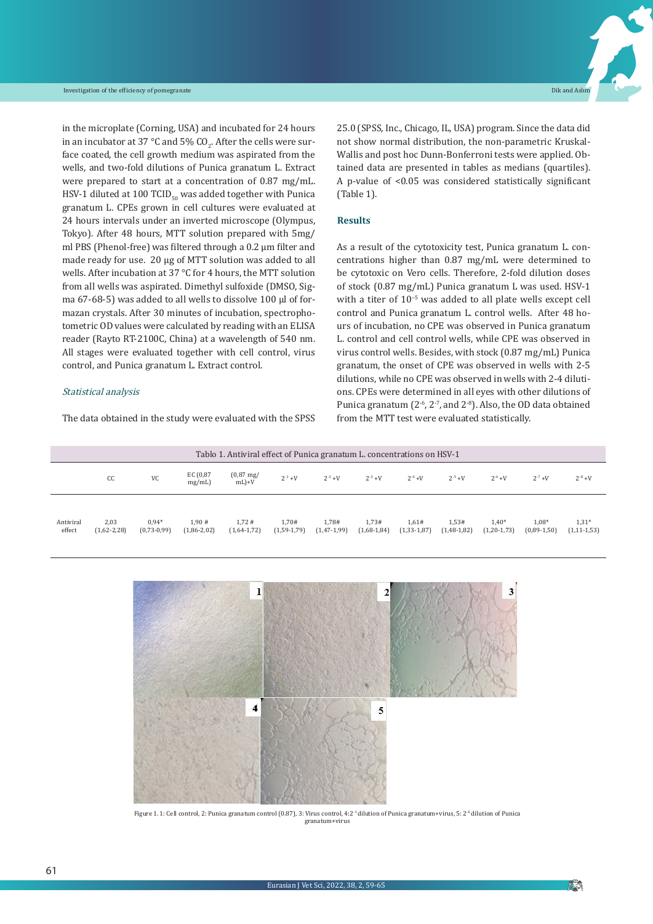in the microplate (Corning, USA) and incubated for 24 hours in an incubator at 37 °C and 5% CO<sub>2</sub>. After the cells were surface coated, the cell growth medium was aspirated from the wells, and two-fold dilutions of Punica granatum L. Extract were prepared to start at a concentration of 0.87 mg/mL. HSV-1 diluted at 100 TCID $_{50}$  was added together with Punica granatum L. CPEs grown in cell cultures were evaluated at 24 hours intervals under an inverted microscope (Olympus, Tokyo). After 48 hours, MTT solution prepared with 5mg/ ml PBS (Phenol-free) was filtered through a 0.2 µm filter and made ready for use. 20 µg of MTT solution was added to all wells. After incubation at 37 °C for 4 hours, the MTT solution from all wells was aspirated. Dimethyl sulfoxide (DMSO, Sigma 67-68-5) was added to all wells to dissolve 100 µl of formazan crystals. After 30 minutes of incubation, spectrophotometric OD values were calculated by reading with an ELISA reader (Rayto RT-2100C, China) at a wavelength of 540 nm. All stages were evaluated together with cell control, virus control, and Punica granatum L. Extract control.

#### Statistical analysis

The data obtained in the study were evaluated with the SPSS

25.0 (SPSS, Inc., Chicago, IL, USA) program. Since the data did not show normal distribution, the non-parametric Kruskal-Wallis and post hoc Dunn-Bonferroni tests were applied. Obtained data are presented in tables as medians (quartiles). A p-value of <0.05 was considered statistically significant (Table 1).

#### **Results**

As a result of the cytotoxicity test, Punica granatum L. concentrations higher than 0.87 mg/mL were determined to be cytotoxic on Vero cells. Therefore, 2-fold dilution doses of stock (0.87 mg/mL) Punica granatum L was used. HSV-1 with a titer of  $10^{-5}$  was added to all plate wells except cell control and Punica granatum L. control wells. After 48 hours of incubation, no CPE was observed in Punica granatum L. control and cell control wells, while CPE was observed in virus control wells. Besides, with stock (0.87 mg/mL) Punica granatum, the onset of CPE was observed in wells with 2-5 dilutions, while no CPE was observed in wells with 2-4 dilutions. CPEs were determined in all eyes with other dilutions of Punica granatum  $(2<sup>-6</sup>, 2<sup>-7</sup>, and 2<sup>-8</sup>)$ . Also, the OD data obtained from the MTT test were evaluated statistically.

| Tablo 1. Antiviral effect of Punica granatum L. concentrations on HSV-1 |                       |                          |                        |                                |                        |                          |                        |                          |                          |                              |                          |                              |
|-------------------------------------------------------------------------|-----------------------|--------------------------|------------------------|--------------------------------|------------------------|--------------------------|------------------------|--------------------------|--------------------------|------------------------------|--------------------------|------------------------------|
|                                                                         | CC                    | VC                       | EC (0,87<br>mg/mL)     | $(0.87 \text{ mg})$<br>$mL$ +V | $2^{-1}$ +V            | $2^{-2} + V$             | $2^{-3} + V$           | $2^{-4} + V$             | $2^{-5} + V$             | $2^{-6}$ +V                  | $2^{-7} + V$             | $2^{-8} + V$                 |
|                                                                         |                       |                          |                        |                                |                        |                          |                        |                          |                          |                              |                          |                              |
| Antiviral<br>effect                                                     | 2,03<br>$(1,62-2,28)$ | $0.94*$<br>$(0,73-0,99)$ | 1.90#<br>$(1,86-2,02)$ | 1.72#<br>$(1,64-1,72)$         | 1.70#<br>$(1,59-1,79)$ | 1.78#<br>$(1, 47-1, 99)$ | 1.73#<br>$(1,68-1,84)$ | 1.61#<br>$(1, 33-1, 87)$ | 1.53#<br>$(1, 48-1, 82)$ | $1,40*$<br>$(1, 20 - 1, 73)$ | $1.08*$<br>$(0,89-1,50)$ | $1,31*$<br>$(1, 11 - 1, 53)$ |



Figure 1. 1: Cell control, 2: Punica granatum control (0.87), 3: Virus control, 4:2-1 dilution of Punica granatum+virus, 5: 2-6 dilution of Punica granatum+virus

**FOIN**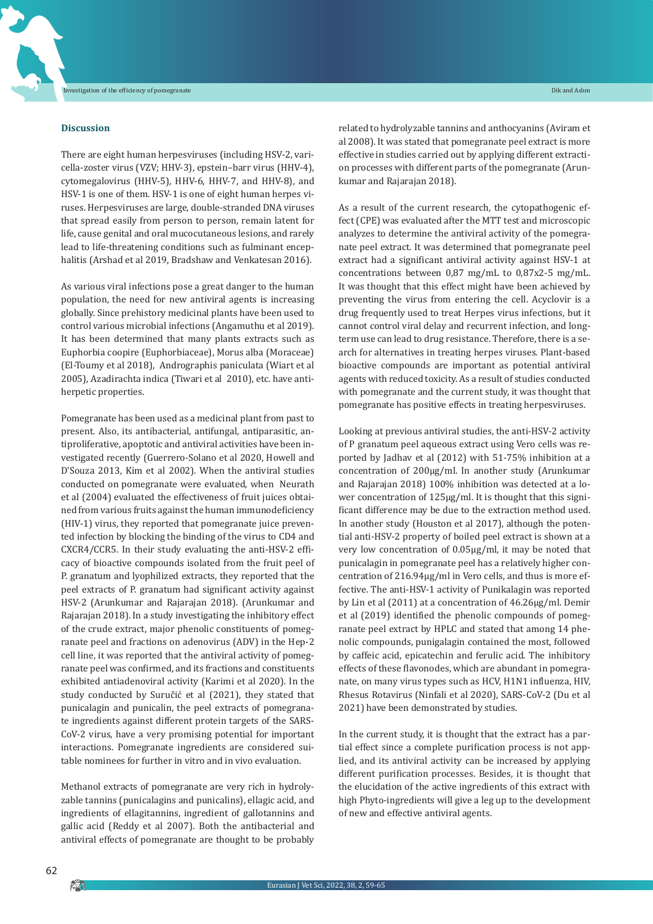#### **Discussion**

There are eight human herpesviruses (including HSV-2, varicella-zoster virus (VZV; HHV-3), epstein–barr virus (HHV-4), cytomegalovirus (HHV-5), HHV-6, HHV-7, and HHV-8), and HSV-1 is one of them. HSV-1 is one of eight human herpes viruses. Herpesviruses are large, double-stranded DNA viruses that spread easily from person to person, remain latent for life, cause genital and oral mucocutaneous lesions, and rarely lead to life-threatening conditions such as fulminant encephalitis (Arshad et al 2019, Bradshaw and Venkatesan 2016).

As various viral infections pose a great danger to the human population, the need for new antiviral agents is increasing globally. Since prehistory medicinal plants have been used to control various microbial infections (Angamuthu et al 2019). It has been determined that many plants extracts such as Euphorbia coopire (Euphorbiaceae), Morus alba (Moraceae) (El-Toumy et al 2018), Andrographis paniculata (Wiart et al 2005), Azadirachta indica (Tiwari et al 2010), etc. have antiherpetic properties.

Pomegranate has been used as a medicinal plant from past to present. Also, its antibacterial, antifungal, antiparasitic, antiproliferative, apoptotic and antiviral activities have been investigated recently (Guerrero-Solano et al 2020, Howell and D'Souza 2013, Kim et al 2002). When the antiviral studies conducted on pomegranate were evaluated, when Neurath et al (2004) evaluated the effectiveness of fruit juices obtained from various fruits against the human immunodeficiency (HIV-1) virus, they reported that pomegranate juice prevented infection by blocking the binding of the virus to CD4 and CXCR4/CCR5. In their study evaluating the anti-HSV-2 efficacy of bioactive compounds isolated from the fruit peel of P. granatum and lyophilized extracts, they reported that the peel extracts of P. granatum had significant activity against HSV-2 (Arunkumar and Rajarajan 2018). (Arunkumar and Rajarajan 2018). In a study investigating the inhibitory effect of the crude extract, major phenolic constituents of pomegranate peel and fractions on adenovirus (ADV) in the Hep-2 cell line, it was reported that the antiviral activity of pomegranate peel was confirmed, and its fractions and constituents exhibited antiadenoviral activity (Karimi et al 2020). In the study conducted by Suručić et al (2021), they stated that punicalagin and punicalin, the peel extracts of pomegranate ingredients against different protein targets of the SARS-CoV-2 virus, have a very promising potential for important interactions. Pomegranate ingredients are considered suitable nominees for further in vitro and in vivo evaluation.

Methanol extracts of pomegranate are very rich in hydrolyzable tannins (punicalagins and punicalins), ellagic acid, and ingredients of ellagitannins, ingredient of gallotannins and gallic acid (Reddy et al 2007). Both the antibacterial and antiviral effects of pomegranate are thought to be probably related to hydrolyzable tannins and anthocyanins (Aviram et al 2008). It was stated that pomegranate peel extract is more effective in studies carried out by applying different extraction processes with different parts of the pomegranate (Arunkumar and Rajarajan 2018).

As a result of the current research, the cytopathogenic effect (CPE) was evaluated after the MTT test and microscopic analyzes to determine the antiviral activity of the pomegranate peel extract. It was determined that pomegranate peel extract had a significant antiviral activity against HSV-1 at concentrations between 0,87 mg/mL to 0,87x2-5 mg/mL. It was thought that this effect might have been achieved by preventing the virus from entering the cell. Acyclovir is a drug frequently used to treat Herpes virus infections, but it cannot control viral delay and recurrent infection, and longterm use can lead to drug resistance. Therefore, there is a search for alternatives in treating herpes viruses. Plant-based bioactive compounds are important as potential antiviral agents with reduced toxicity. As a result of studies conducted with pomegranate and the current study, it was thought that pomegranate has positive effects in treating herpesviruses.

Looking at previous antiviral studies, the anti-HSV-2 activity of P granatum peel aqueous extract using Vero cells was reported by Jadhav et al (2012) with 51-75% inhibition at a concentration of 200μg/ml. In another study (Arunkumar and Rajarajan 2018) 100% inhibition was detected at a lower concentration of 125μg/ml. It is thought that this significant difference may be due to the extraction method used. In another study (Houston et al 2017), although the potential anti-HSV-2 property of boiled peel extract is shown at a very low concentration of 0.05μg/ml, it may be noted that punicalagin in pomegranate peel has a relatively higher concentration of 216.94μg/ml in Vero cells, and thus is more effective. The anti-HSV-1 activity of Punikalagin was reported by Lin et al (2011) at a concentration of 46.26μg/ml. Demir et al (2019) identified the phenolic compounds of pomegranate peel extract by HPLC and stated that among 14 phenolic compounds, punigalagin contained the most, followed by caffeic acid, epicatechin and ferulic acid. The inhibitory effects of these flavonodes, which are abundant in pomegranate, on many virus types such as HCV, H1N1 influenza, HIV, Rhesus Rotavirus (Ninfali et al 2020), SARS-CoV-2 (Du et al 2021) have been demonstrated by studies.

In the current study, it is thought that the extract has a partial effect since a complete purification process is not applied, and its antiviral activity can be increased by applying different purification processes. Besides, it is thought that the elucidation of the active ingredients of this extract with high Phyto-ingredients will give a leg up to the development of new and effective antiviral agents.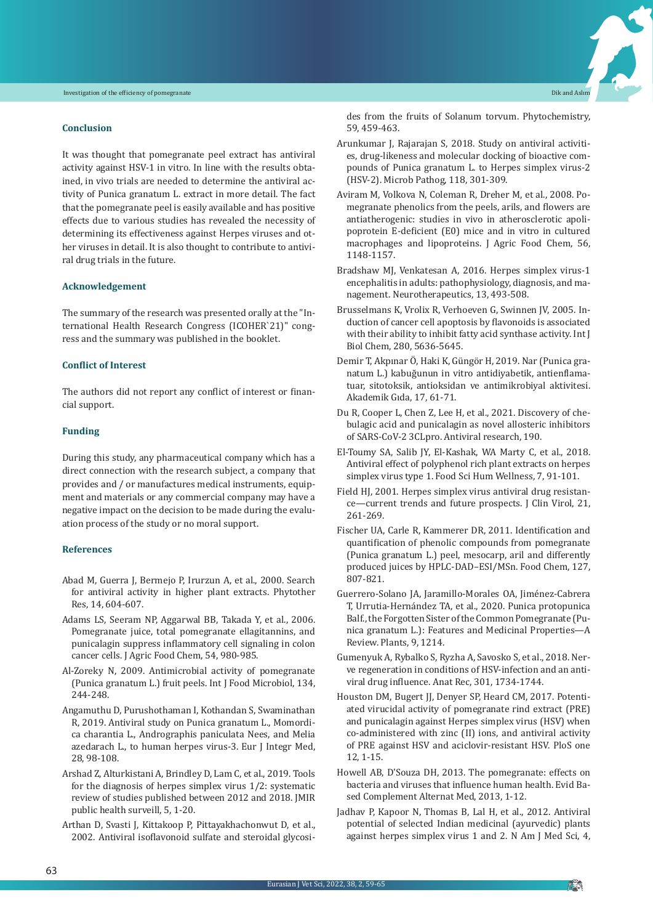#### **Conclusion**

It was thought that pomegranate peel extract has antiviral activity against HSV-1 in vitro. In line with the results obtained, in vivo trials are needed to determine the antiviral activity of Punica granatum L. extract in more detail. The fact that the pomegranate peel is easily available and has positive effects due to various studies has revealed the necessity of determining its effectiveness against Herpes viruses and other viruses in detail. It is also thought to contribute to antiviral drug trials in the future.

#### **Acknowledgement**

The summary of the research was presented orally at the "International Health Research Congress (ICOHER`21)" congress and the summary was published in the booklet.

#### **Conflict of Interest**

The authors did not report any conflict of interest or financial support.

#### **Funding**

During this study, any pharmaceutical company which has a direct connection with the research subject, a company that provides and / or manufactures medical instruments, equipment and materials or any commercial company may have a negative impact on the decision to be made during the evaluation process of the study or no moral support.

#### **References**

- Abad M, Guerra J, Bermejo P, Irurzun A, et al., 2000. Search for antiviral activity in higher plant extracts. Phytother Res, 14, 604-607.
- Adams LS, Seeram NP, Aggarwal BB, Takada Y, et al., 2006. Pomegranate juice, total pomegranate ellagitannins, and punicalagin suppress inflammatory cell signaling in colon cancer cells. J Agric Food Chem, 54, 980-985.
- Al-Zoreky N, 2009. Antimicrobial activity of pomegranate (Punica granatum L.) fruit peels. Int J Food Microbiol, 134, 244-248.
- Angamuthu D, Purushothaman I, Kothandan S, Swaminathan R, 2019. Antiviral study on Punica granatum L., Momordica charantia L., Andrographis paniculata Nees, and Melia azedarach L., to human herpes virus-3. Eur J Integr Med, 28, 98-108.
- Arshad Z, Alturkistani A, Brindley D, Lam C, et al., 2019. Tools for the diagnosis of herpes simplex virus 1/2: systematic review of studies published between 2012 and 2018. JMIR public health surveill, 5, 1-20.
- Arthan D, Svasti J, Kittakoop P, Pittayakhachonwut D, et al., 2002. Antiviral isoflavonoid sulfate and steroidal glycosi-

des from the fruits of Solanum torvum. Phytochemistry, 59, 459-463.

- Arunkumar J, Rajarajan S, 2018. Study on antiviral activities, drug-likeness and molecular docking of bioactive compounds of Punica granatum L. to Herpes simplex virus-2 (HSV-2). Microb Pathog, 118, 301-309.
- Aviram M, Volkova N, Coleman R, Dreher M, et al., 2008. Pomegranate phenolics from the peels, arils, and flowers are antiatherogenic: studies in vivo in atherosclerotic apolipoprotein E-deficient (E0) mice and in vitro in cultured macrophages and lipoproteins. J Agric Food Chem, 56, 1148-1157.
- Bradshaw MJ, Venkatesan A, 2016. Herpes simplex virus-1 encephalitis in adults: pathophysiology, diagnosis, and management. Neurotherapeutics, 13, 493-508.
- Brusselmans K, Vrolix R, Verhoeven G, Swinnen JV, 2005. Induction of cancer cell apoptosis by flavonoids is associated with their ability to inhibit fatty acid synthase activity. Int J Biol Chem, 280, 5636-5645.
- Demir T, Akpınar Ö, Haki K, Güngör H, 2019. Nar (Punica granatum L.) kabuğunun in vitro antidiyabetik, antienflamatuar, sitotoksik, antioksidan ve antimikrobiyal aktivitesi. Akademik Gıda, 17, 61-71.
- Du R, Cooper L, Chen Z, Lee H, et al., 2021. Discovery of chebulagic acid and punicalagin as novel allosteric inhibitors of SARS-CoV-2 3CLpro. Antiviral research, 190.
- El-Toumy SA, Salib JY, El-Kashak, WA Marty C, et al., 2018. Antiviral effect of polyphenol rich plant extracts on herpes simplex virus type 1. Food Sci Hum Wellness, 7, 91-101.
- Field HJ, 2001. Herpes simplex virus antiviral drug resistance—current trends and future prospects. J Clin Virol, 21, 261-269.
- Fischer UA, Carle R, Kammerer DR, 2011. Identification and quantification of phenolic compounds from pomegranate (Punica granatum L.) peel, mesocarp, aril and differently produced juices by HPLC-DAD–ESI/MSn. Food Chem, 127, 807-821.
- Guerrero-Solano JA, Jaramillo-Morales OA, Jiménez-Cabrera T, Urrutia-Hernández TA, et al., 2020. Punica protopunica Balf., the Forgotten Sister of the Common Pomegranate (Punica granatum L.): Features and Medicinal Properties—A Review. Plants, 9, 1214.
- Gumenyuk A, Rybalko S, Ryzha A, Savosko S, et al., 2018. Nerve regeneration in conditions of HSV-infection and an antiviral drug influence. Anat Rec, 301, 1734-1744.
- Houston DM, Bugert JJ, Denyer SP, Heard CM, 2017. Potentiated virucidal activity of pomegranate rind extract (PRE) and punicalagin against Herpes simplex virus (HSV) when co-administered with zinc (II) ions, and antiviral activity of PRE against HSV and aciclovir-resistant HSV. PloS one 12, 1-15.
- Howell AB, D'Souza DH, 2013. The pomegranate: effects on bacteria and viruses that influence human health. Evid Based Complement Alternat Med, 2013, 1-12.
- Jadhav P, Kapoor N, Thomas B, Lal H, et al., 2012. Antiviral potential of selected Indian medicinal (ayurvedic) plants against herpes simplex virus 1 and 2. N Am J Med Sci, 4,

**Pin**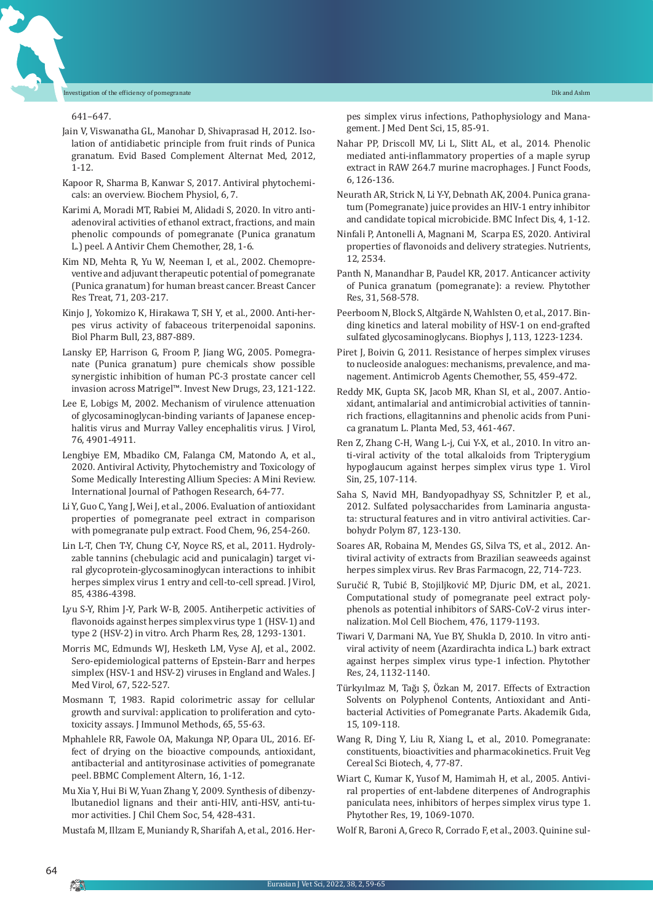641–647.

- Jain V, Viswanatha GL, Manohar D, Shivaprasad H, 2012. Isolation of antidiabetic principle from fruit rinds of Punica granatum. Evid Based Complement Alternat Med, 2012, 1-12.
- Kapoor R, Sharma B, Kanwar S, 2017. Antiviral phytochemicals: an overview. Biochem Physiol, 6, 7.
- Karimi A, Moradi MT, Rabiei M, Alidadi S, 2020. In vitro antiadenoviral activities of ethanol extract, fractions, and main phenolic compounds of pomegranate (Punica granatum L.) peel. A Antivir Chem Chemother, 28, 1-6.
- Kim ND, Mehta R, Yu W, Neeman I, et al., 2002. Chemopreventive and adjuvant therapeutic potential of pomegranate (Punica granatum) for human breast cancer. Breast Cancer Res Treat, 71, 203-217.
- Kinjo J, Yokomizo K, Hirakawa T, SH Y, et al., 2000. Anti-herpes virus activity of fabaceous triterpenoidal saponins. Biol Pharm Bull, 23, 887-889.
- Lansky EP, Harrison G, Froom P, Jiang WG, 2005. Pomegranate (Punica granatum) pure chemicals show possible synergistic inhibition of human PC-3 prostate cancer cell invasion across Matrigel™. Invest New Drugs, 23, 121-122.
- Lee E, Lobigs M, 2002. Mechanism of virulence attenuation of glycosaminoglycan-binding variants of Japanese encephalitis virus and Murray Valley encephalitis virus. J Virol, 76, 4901-4911.
- Lengbiye EM, Mbadiko CM, Falanga CM, Matondo A, et al., 2020. Antiviral Activity, Phytochemistry and Toxicology of Some Medically Interesting Allium Species: A Mini Review. International Journal of Pathogen Research, 64-77.
- Li Y, Guo C, Yang J, Wei J, et al., 2006. Evaluation of antioxidant properties of pomegranate peel extract in comparison with pomegranate pulp extract. Food Chem, 96, 254-260.
- Lin L-T, Chen T-Y, Chung C-Y, Noyce RS, et al., 2011. Hydrolyzable tannins (chebulagic acid and punicalagin) target viral glycoprotein-glycosaminoglycan interactions to inhibit herpes simplex virus 1 entry and cell-to-cell spread. J Virol, 85, 4386-4398.
- Lyu S-Y, Rhim J-Y, Park W-B, 2005. Antiherpetic activities of flavonoids against herpes simplex virus type 1 (HSV-1) and type 2 (HSV-2) in vitro. Arch Pharm Res, 28, 1293-1301.
- Morris MC, Edmunds WJ, Hesketh LM, Vyse AJ, et al., 2002. Sero‐epidemiological patterns of Epstein‐Barr and herpes simplex (HSV-1 and HSV-2) viruses in England and Wales. J Med Virol, 67, 522-527.
- Mosmann T, 1983. Rapid colorimetric assay for cellular growth and survival: application to proliferation and cytotoxicity assays. J Immunol Methods, 65, 55-63.
- Mphahlele RR, Fawole OA, Makunga NP, Opara UL, 2016. Effect of drying on the bioactive compounds, antioxidant, antibacterial and antityrosinase activities of pomegranate peel. BBMC Complement Altern, 16, 1-12.
- Mu Xia Y, Hui Bi W, Yuan Zhang Y, 2009. Synthesis of dibenzylbutanediol lignans and their anti-HIV, anti-HSV, anti-tumor activities. J Chil Chem Soc, 54, 428-431.

Mustafa M, Illzam E, Muniandy R, Sharifah A, et al., 2016. Her-

pes simplex virus infections, Pathophysiology and Management. J Med Dent Sci, 15, 85-91.

- Nahar PP, Driscoll MV, Li L, Slitt AL, et al., 2014. Phenolic mediated anti-inflammatory properties of a maple syrup extract in RAW 264.7 murine macrophages. J Funct Foods, 6, 126-136.
- Neurath AR, Strick N, Li Y-Y, Debnath AK, 2004. Punica granatum (Pomegranate) juice provides an HIV-1 entry inhibitor and candidate topical microbicide. BMC Infect Dis, 4, 1-12.
- Ninfali P, Antonelli A, Magnani M, Scarpa ES, 2020. Antiviral properties of flavonoids and delivery strategies. Nutrients, 12, 2534.
- Panth N, Manandhar B, Paudel KR, 2017. Anticancer activity of Punica granatum (pomegranate): a review. Phytother Res, 31, 568-578.
- Peerboom N, Block S, Altgärde N, Wahlsten O, et al., 2017. Binding kinetics and lateral mobility of HSV-1 on end-grafted sulfated glycosaminoglycans. Biophys J, 113, 1223-1234.
- Piret J, Boivin G, 2011. Resistance of herpes simplex viruses to nucleoside analogues: mechanisms, prevalence, and management. Antimicrob Agents Chemother, 55, 459-472.
- Reddy MK, Gupta SK, Jacob MR, Khan SI, et al., 2007. Antioxidant, antimalarial and antimicrobial activities of tanninrich fractions, ellagitannins and phenolic acids from Punica granatum L. Planta Med, 53, 461-467.
- Ren Z, Zhang C-H, Wang L-j, Cui Y-X, et al., 2010. In vitro anti-viral activity of the total alkaloids from Tripterygium hypoglaucum against herpes simplex virus type 1. Virol Sin, 25, 107-114.
- Saha S, Navid MH, Bandyopadhyay SS, Schnitzler P, et al., 2012. Sulfated polysaccharides from Laminaria angustata: structural features and in vitro antiviral activities. Carbohydr Polym 87, 123-130.
- Soares AR, Robaina M, Mendes GS, Silva TS, et al., 2012. Antiviral activity of extracts from Brazilian seaweeds against herpes simplex virus. Rev Bras Farmacogn, 22, 714-723.
- Suručić R, Tubić B, Stojiljković MP, Djuric DM, et al., 2021. Computational study of pomegranate peel extract polyphenols as potential inhibitors of SARS-CoV-2 virus internalization. Mol Cell Biochem, 476, 1179-1193.
- Tiwari V, Darmani NA, Yue BY, Shukla D, 2010. In vitro antiviral activity of neem (Azardirachta indica L.) bark extract against herpes simplex virus type‐1 infection. Phytother Res, 24, 1132-1140.
- Türkyılmaz M, Tağı Ş, Özkan M, 2017. Effects of Extraction Solvents on Polyphenol Contents, Antioxidant and Antibacterial Activities of Pomegranate Parts. Akademik Gıda, 15, 109-118.
- Wang R, Ding Y, Liu R, Xiang L, et al., 2010. Pomegranate: constituents, bioactivities and pharmacokinetics. Fruit Veg Cereal Sci Biotech, 4, 77-87.
- Wiart C, Kumar K, Yusof M, Hamimah H, et al., 2005. Antiviral properties of ent‐labdene diterpenes of Andrographis paniculata nees, inhibitors of herpes simplex virus type 1. Phytother Res, 19, 1069-1070.
- Wolf R, Baroni A, Greco R, Corrado F, et al., 2003. Quinine sul-